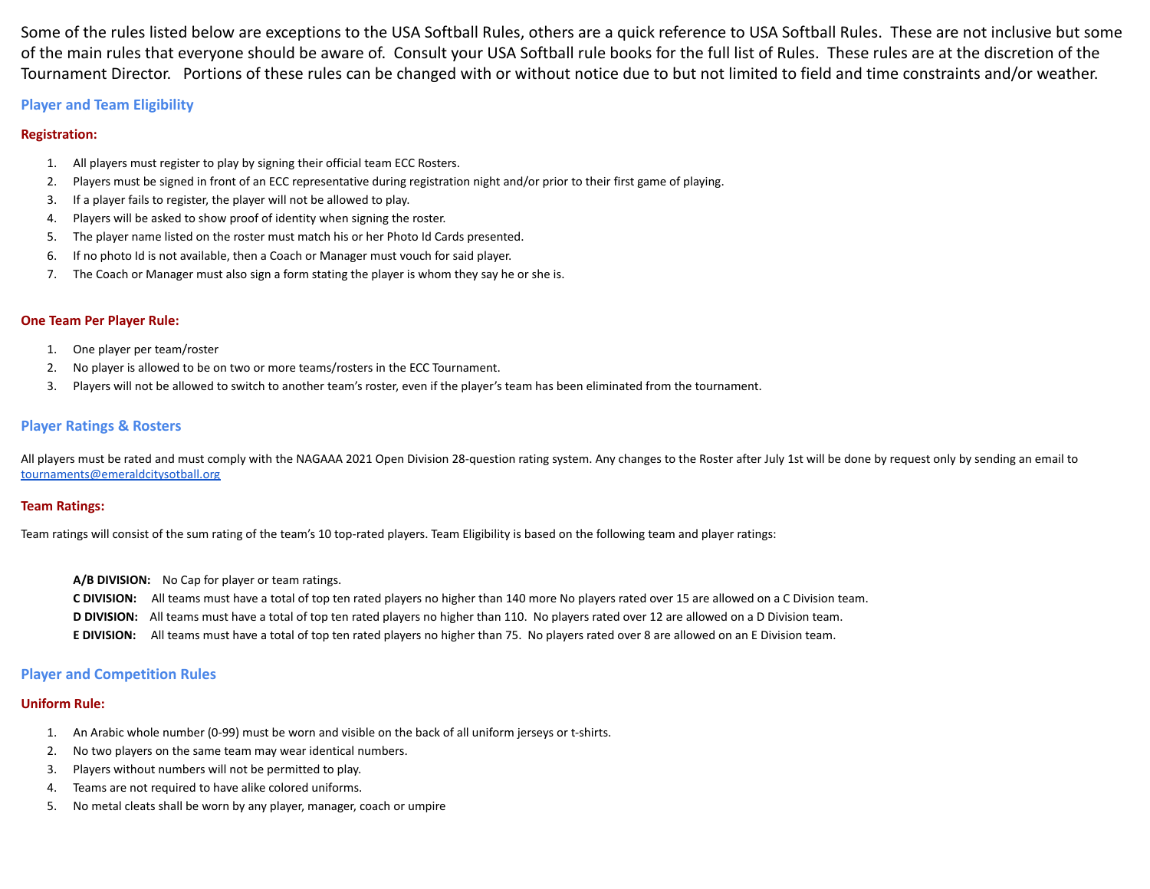Some of the rules listed below are exceptions to the USA Softball Rules, others are a quick reference to USA Softball Rules. These are not inclusive but some of the main rules that everyone should be aware of. Consult your USA Softball rule books for the full list of Rules. These rules are at the discretion of the Tournament Director. Portions of these rules can be changed with or without notice due to but not limited to field and time constraints and/or weather.

## **Player and Team Eligibility**

## **Registration:**

- 1. All players must register to play by signing their official team ECC Rosters.
- 2. Players must be signed in front of an ECC representative during registration night and/or prior to their first game of playing.
- 3. If a player fails to register, the player will not be allowed to play.
- 4. Players will be asked to show proof of identity when signing the roster.
- 5. The player name listed on the roster must match his or her Photo Id Cards presented.
- 6. If no photo Id is not available, then a Coach or Manager must vouch for said player.
- 7. The Coach or Manager must also sign a form stating the player is whom they say he or she is.

## **One Team Per Player Rule:**

- 1. One player per team/roster
- 2. No player is allowed to be on two or more teams/rosters in the ECC Tournament.
- 3. Players will not be allowed to switch to another team's roster, even if the player's team has been eliminated from the tournament.

## **Player Ratings & Rosters**

All players must be rated and must comply with the NAGAAA 2021 Open Division 28-question rating system. Any changes to the Roster after July 1st will be done by request only by sending an email to [tournaments@emeraldcitysotball.org](mailto:tournaments@emeraldcitysotball.org)

## **Team Ratings:**

Team ratings will consist of the sum rating of the team's 10 top-rated players. Team Eligibility is based on the following team and player ratings:

- **A/B DIVISION:** No Cap for player or team ratings.
- **C DIVISION:** All teams must have a total of top ten rated players no higher than 140 more No players rated over 15 are allowed on a C Division team.
- **D DIVISION:** All teams must have a total of top ten rated players no higher than 110. No players rated over 12 are allowed on a D Division team.
- **E DIVISION:** All teams must have a total of top ten rated players no higher than 75. No players rated over 8 are allowed on an E Division team.

## **Player and Competition Rules**

## **Uniform Rule:**

- 1. An Arabic whole number (0-99) must be worn and visible on the back of all uniform jerseys or t-shirts.
- 2. No two players on the same team may wear identical numbers.
- 3. Players without numbers will not be permitted to play.
- 4. Teams are not required to have alike colored uniforms.
- 5. No metal cleats shall be worn by any player, manager, coach or umpire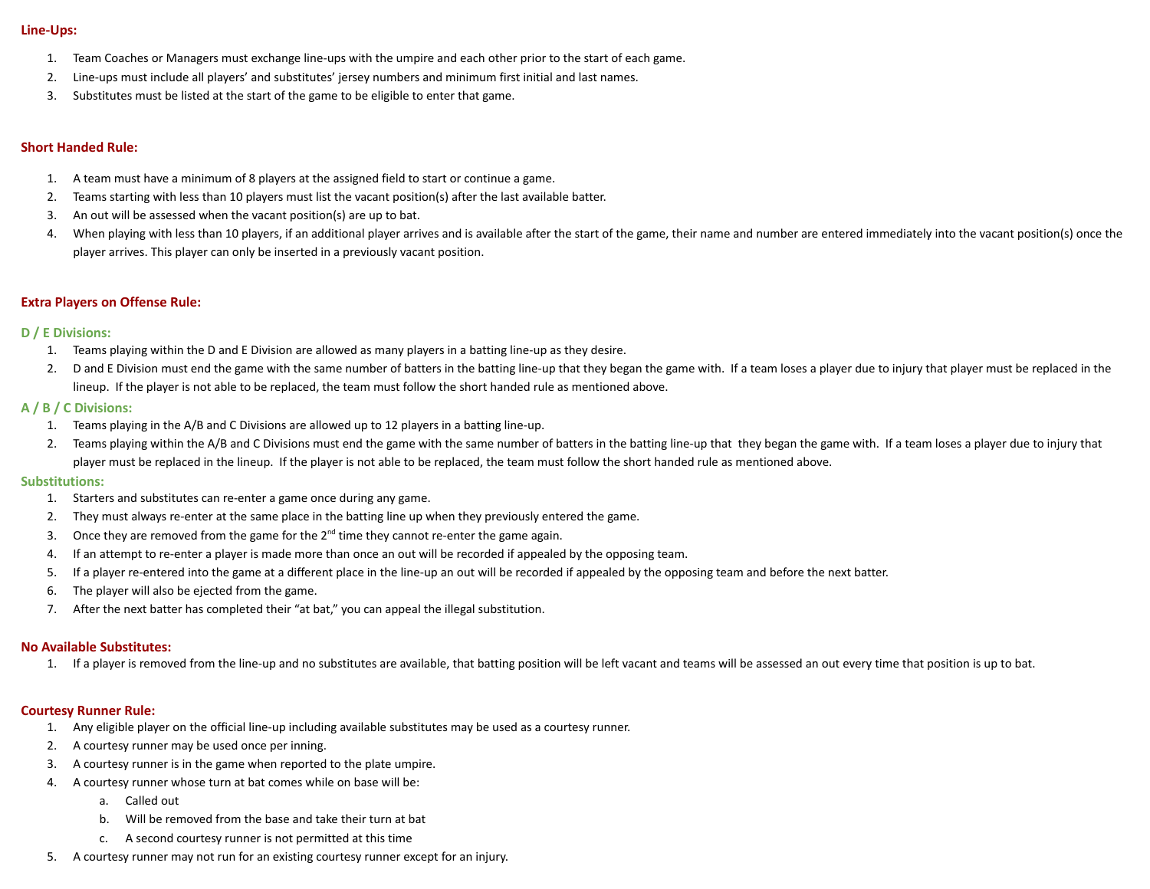### **Line-Ups:**

- 1. Team Coaches or Managers must exchange line-ups with the umpire and each other prior to the start of each game.
- 2. Line-ups must include all players' and substitutes' jersey numbers and minimum first initial and last names.
- 3. Substitutes must be listed at the start of the game to be eligible to enter that game.

## **Short Handed Rule:**

- 1. A team must have a minimum of 8 players at the assigned field to start or continue a game.
- 2. Teams starting with less than 10 players must list the vacant position(s) after the last available batter.
- 3. An out will be assessed when the vacant position(s) are up to bat.
- 4. When playing with less than 10 players, if an additional player arrives and is available after the start of the game, their name and number are entered immediately into the vacant position(s) once the player arrives. This player can only be inserted in a previously vacant position.

## **Extra Players on Offense Rule:**

#### **D / E Divisions:**

- 1. Teams playing within the D and E Division are allowed as many players in a batting line-up as they desire.
- 2. D and E Division must end the game with the same number of batters in the batting line-up that they began the game with. If a team loses a player due to injury that player must be replaced in the lineup. If the player is not able to be replaced, the team must follow the short handed rule as mentioned above.

### **A / B / C Divisions:**

- 1. Teams playing in the A/B and C Divisions are allowed up to 12 players in a batting line-up.
- 2. Teams playing within the A/B and C Divisions must end the game with the same number of batters in the batting line-up that they began the game with. If a team loses a player due to injury that player must be replaced in the lineup. If the player is not able to be replaced, the team must follow the short handed rule as mentioned above.

#### **Substitutions:**

- 1. Starters and substitutes can re-enter a game once during any game.
- 2. They must always re-enter at the same place in the batting line up when they previously entered the game.
- 3. Once they are removed from the game for the  $2^{nd}$  time they cannot re-enter the game again.
- 4. If an attempt to re-enter a player is made more than once an out will be recorded if appealed by the opposing team.
- 5. If a player re-entered into the game at a different place in the line-up an out will be recorded if appealed by the opposing team and before the next batter.
- 6. The player will also be ejected from the game.
- 7. After the next batter has completed their "at bat," you can appeal the illegal substitution.

#### **No Available Substitutes:**

1. If a player is removed from the line-up and no substitutes are available, that batting position will be left vacant and teams will be assessed an out every time that position is up to bat.

### **Courtesy Runner Rule:**

- 1. Any eligible player on the official line-up including available substitutes may be used as a courtesy runner.
- 2. A courtesy runner may be used once per inning.
- 3. A courtesy runner is in the game when reported to the plate umpire.
- 4. A courtesy runner whose turn at bat comes while on base will be:
	- a. Called out
	- b. Will be removed from the base and take their turn at bat
	- c. A second courtesy runner is not permitted at this time
- 5. A courtesy runner may not run for an existing courtesy runner except for an injury.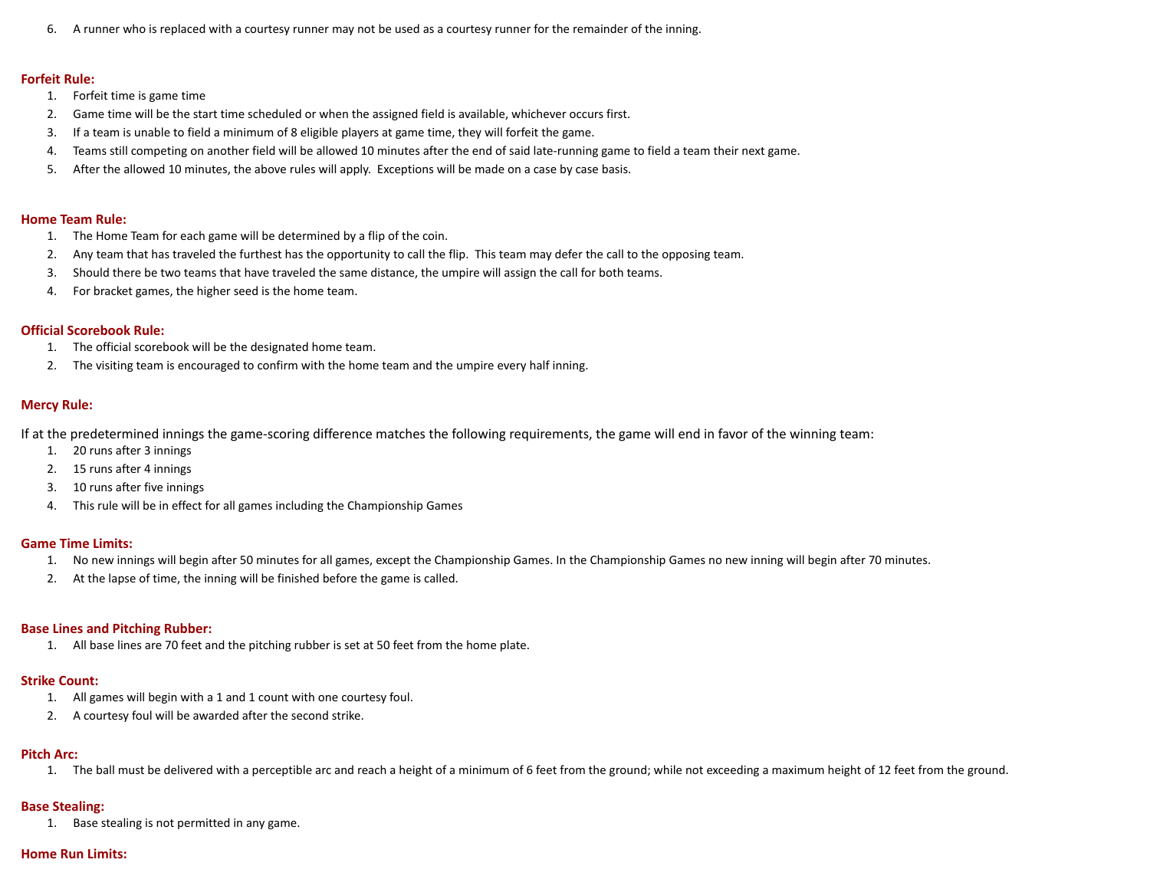6. A runner who is replaced with a courtesy runner may not be used as a courtesy runner for the remainder of the inning.

#### **Forfeit Rule:**

- 1. Forfeit time is game time
- 2. Game time will be the start time scheduled or when the assigned field is available, whichever occurs first.
- 3. If a team is unable to field a minimum of 8 eligible players at game time, they will forfeit the game.
- 4. Teams still competing on another field will be allowed 10 minutes after the end of said late-running game to field a team their next game.
- 5. After the allowed 10 minutes, the above rules will apply. Exceptions will be made on a case by case basis.

#### **Home Team Rule:**

- 1. The Home Team for each game will be determined by a flip of the coin.
- 2. Any team that has traveled the furthest has the opportunity to call the flip. This team may defer the call to the opposing team.
- 3. Should there be two teams that have traveled the same distance, the umpire will assign the call for both teams.
- 4. For bracket games, the higher seed is the home team.

### **Official Scorebook Rule:**

- 1. The official scorebook will be the designated home team.
- 2. The visiting team is encouraged to confirm with the home team and the umpire every half inning.

### **Mercy Rule:**

If at the predetermined innings the game-scoring difference matches the following requirements, the game will end in favor of the winning team:

- 1. 20 runs after 3 innings
- 2. 15 runs after 4 innings
- 3. 10 runs after five innings
- 4. This rule will be in effect for all games including the Championship Games

### **Game Time Limits:**

- 1. No new innings will begin after 50 minutes for all games, except the Championship Games. In the Championship Games no new inning will begin after 70 minutes.
- 2. At the lapse of time, the inning will be finished before the game is called.

### **Base Lines and Pitching Rubber:**

1. All base lines are 70 feet and the pitching rubber is set at 50 feet from the home plate.

### **Strike Count:**

- 1. All games will begin with a 1 and 1 count with one courtesy foul.
- 2. A courtesy foul will be awarded after the second strike.

## **Pitch Arc:**

1. The ball must be delivered with a perceptible arc and reach a height of a minimum of 6 feet from the ground; while not exceeding a maximum height of 12 feet from the ground.

## **Base Stealing:**

1. Base stealing is not permitted in any game.

## **Home Run Limits:**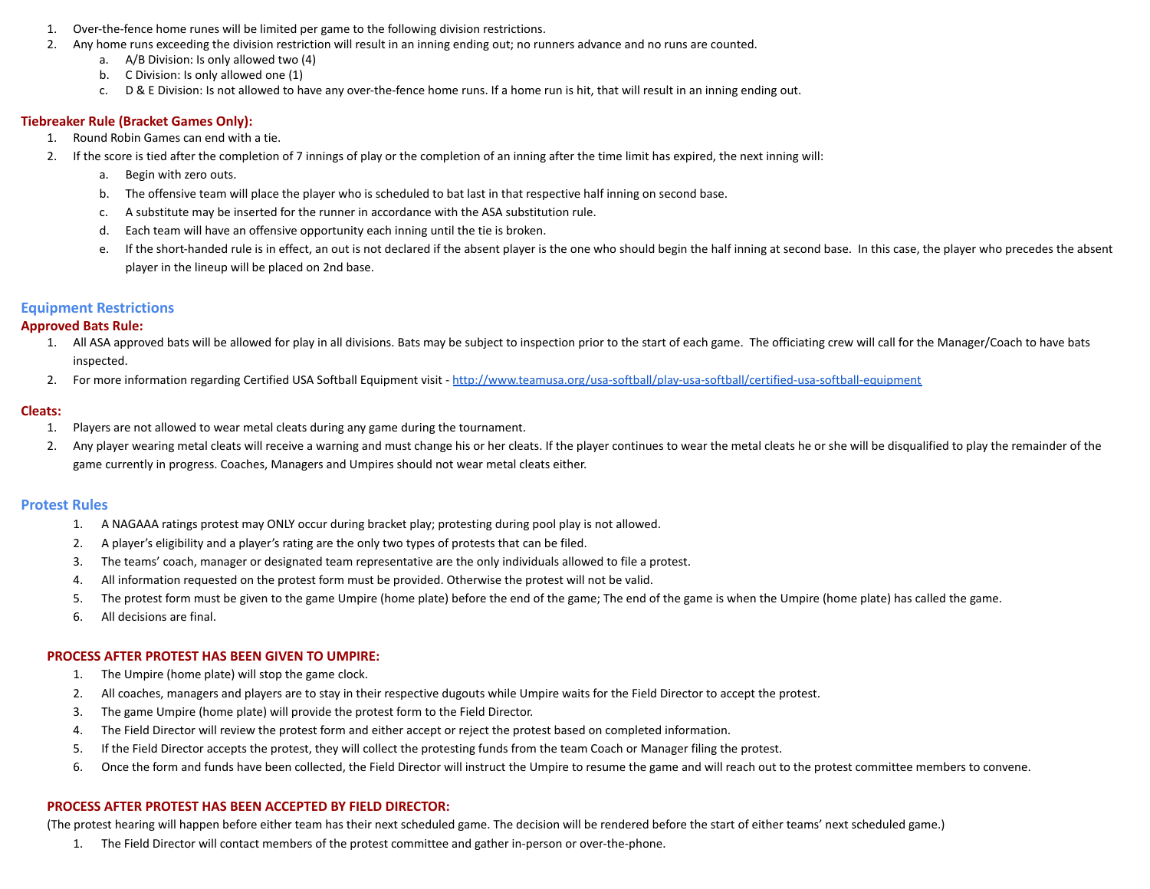- 1. Over-the-fence home runes will be limited per game to the following division restrictions.
- 2. Any home runs exceeding the division restriction will result in an inning ending out; no runners advance and no runs are counted.
	- a. A/B Division: Is only allowed two (4)
	- b. C Division: Is only allowed one (1)
	- c. D & E Division: Is not allowed to have any over-the-fence home runs. If a home run is hit, that will result in an inning ending out.

### **Tiebreaker Rule (Bracket Games Only):**

- 1. Round Robin Games can end with a tie.
- 2. If the score is tied after the completion of 7 innings of play or the completion of an inning after the time limit has expired, the next inning will:
	- a. Begin with zero outs.
	- b. The offensive team will place the player who is scheduled to bat last in that respective half inning on second base.
	- c. A substitute may be inserted for the runner in accordance with the ASA substitution rule.
	- d. Each team will have an offensive opportunity each inning until the tie is broken.
	- e. If the short-handed rule is in effect, an out is not declared if the absent player is the one who should begin the half inning at second base. In this case, the player who precedes the absent player in the lineup will be placed on 2nd base.

## **Equipment Restrictions**

### **Approved Bats Rule:**

- 1. All ASA approved bats will be allowed for play in all divisions. Bats may be subject to inspection prior to the start of each game. The officiating crew will call for the Manager/Coach to have bats inspected.
- 2. For more information regarding Certified USA Softball Equipment visit <http://www.teamusa.org/usa-softball/play-usa-softball/certified-usa-softball-equipment>

#### **Cleats:**

- 1. Players are not allowed to wear metal cleats during any game during the tournament.
- 2. Any player wearing metal cleats will receive a warning and must change his or her cleats. If the player continues to wear the metal cleats he or she will be disqualified to play the remainder of the game currently in progress. Coaches, Managers and Umpires should not wear metal cleats either.

### **Protest Rules**

- 1. A NAGAAA ratings protest may ONLY occur during bracket play; protesting during pool play is not allowed.
- 2. A player's eligibility and a player's rating are the only two types of protests that can be filed.
- 3. The teams' coach, manager or designated team representative are the only individuals allowed to file a protest.
- 4. All information requested on the protest form must be provided. Otherwise the protest will not be valid.
- 5. The protest form must be given to the game Umpire (home plate) before the end of the game; The end of the game is when the Umpire (home plate) has called the game.
- 6. All decisions are final.

### **PROCESS AFTER PROTEST HAS BEEN GIVEN TO UMPIRE:**

- 1. The Umpire (home plate) will stop the game clock.
- 2. All coaches, managers and players are to stay in their respective dugouts while Umpire waits for the Field Director to accept the protest.
- 3. The game Umpire (home plate) will provide the protest form to the Field Director.
- 4. The Field Director will review the protest form and either accept or reject the protest based on completed information.
- 5. If the Field Director accepts the protest, they will collect the protesting funds from the team Coach or Manager filing the protest.
- 6. Once the form and funds have been collected, the Field Director will instruct the Umpire to resume the game and will reach out to the protest committee members to convene.

### **PROCESS AFTER PROTEST HAS BEEN ACCEPTED BY FIELD DIRECTOR:**

(The protest hearing will happen before either team has their next scheduled game. The decision will be rendered before the start of either teams' next scheduled game.)

1. The Field Director will contact members of the protest committee and gather in-person or over-the-phone.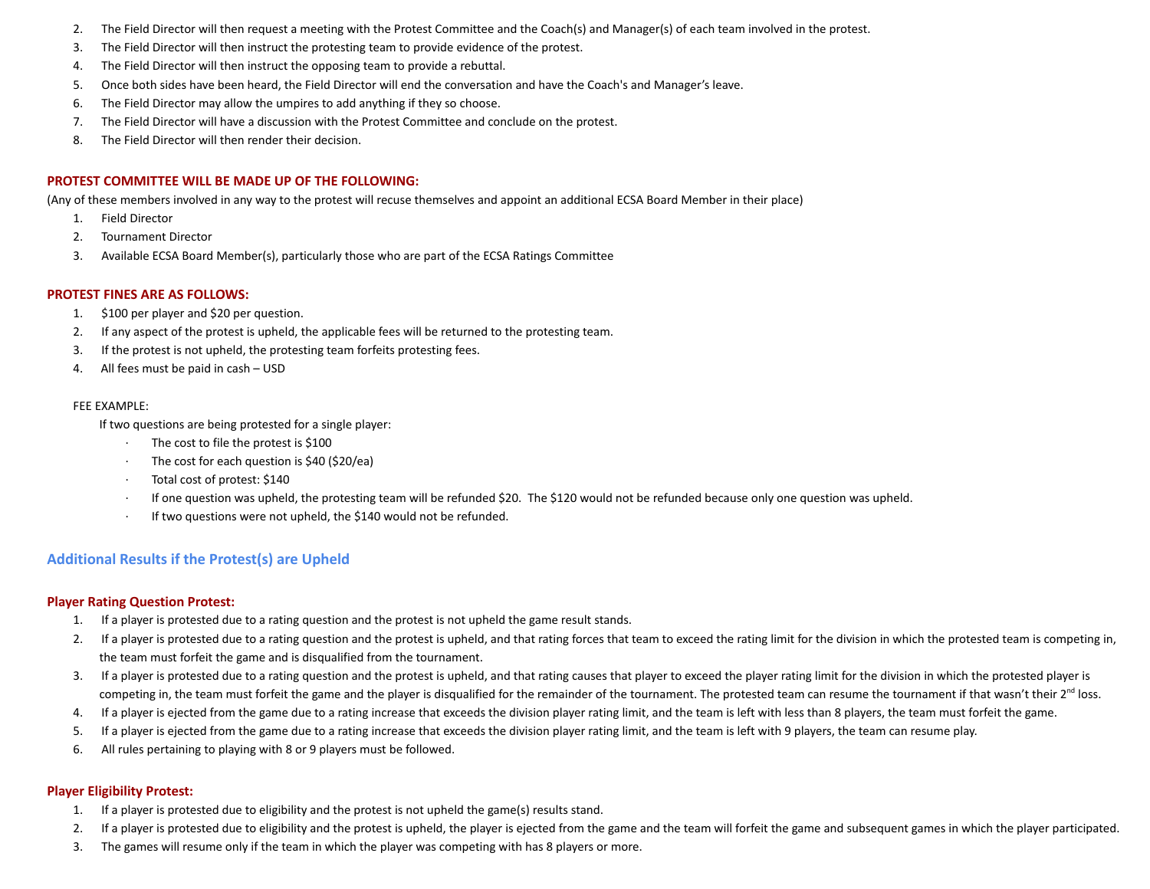- 2. The Field Director will then request a meeting with the Protest Committee and the Coach(s) and Manager(s) of each team involved in the protest.
- 3. The Field Director will then instruct the protesting team to provide evidence of the protest.
- 4. The Field Director will then instruct the opposing team to provide a rebuttal.
- 5. Once both sides have been heard, the Field Director will end the conversation and have the Coach's and Manager's leave.
- 6. The Field Director may allow the umpires to add anything if they so choose.
- 7. The Field Director will have a discussion with the Protest Committee and conclude on the protest.
- 8. The Field Director will then render their decision.

### **PROTEST COMMITTEE WILL BE MADE UP OF THE FOLLOWING:**

(Any of these members involved in any way to the protest will recuse themselves and appoint an additional ECSA Board Member in their place)

- 1. Field Director
- 2. Tournament Director
- 3. Available ECSA Board Member(s), particularly those who are part of the ECSA Ratings Committee

### **PROTEST FINES ARE AS FOLLOWS:**

- 1. \$100 per player and \$20 per question.
- 2. If any aspect of the protest is upheld, the applicable fees will be returned to the protesting team.
- 3. If the protest is not upheld, the protesting team forfeits protesting fees.
- 4. All fees must be paid in cash USD

#### FEE EXAMPLE:

If two questions are being protested for a single player:

- The cost to file the protest is \$100
- The cost for each question is \$40 (\$20/ea)
- Total cost of protest: \$140
- · If one question was upheld, the protesting team will be refunded \$20. The \$120 would not be refunded because only one question was upheld.
- If two questions were not upheld, the \$140 would not be refunded.

## **Additional Results if the Protest(s) are Upheld**

### **Player Rating Question Protest:**

- 1. If a player is protested due to a rating question and the protest is not upheld the game result stands.
- 2. If a player is protested due to a rating question and the protest is upheld, and that rating forces that team to exceed the rating limit for the division in which the protested team is competing in, the team must forfeit the game and is disqualified from the tournament.
- 3. If a player is protested due to a rating question and the protest is upheld, and that rating causes that player to exceed the player rating limit for the division in which the protested player is competing in, the team must forfeit the game and the player is disqualified for the remainder of the tournament. The protested team can resume the tournament if that wasn't their 2<sup>nd</sup> loss.
- 4. If a player is ejected from the game due to a rating increase that exceeds the division player rating limit, and the team is left with less than 8 players, the team must forfeit the game.
- 5. If a player is ejected from the game due to a rating increase that exceeds the division player rating limit, and the team is left with 9 players, the team can resume play.
- 6. All rules pertaining to playing with 8 or 9 players must be followed.

### **Player Eligibility Protest:**

- 1. If a player is protested due to eligibility and the protest is not upheld the game(s) results stand.
- 2. If a player is protested due to eligibility and the protest is upheld, the player is ejected from the game and the team will forfeit the game and subsequent games in which the player participated.
- 3. The games will resume only if the team in which the player was competing with has 8 players or more.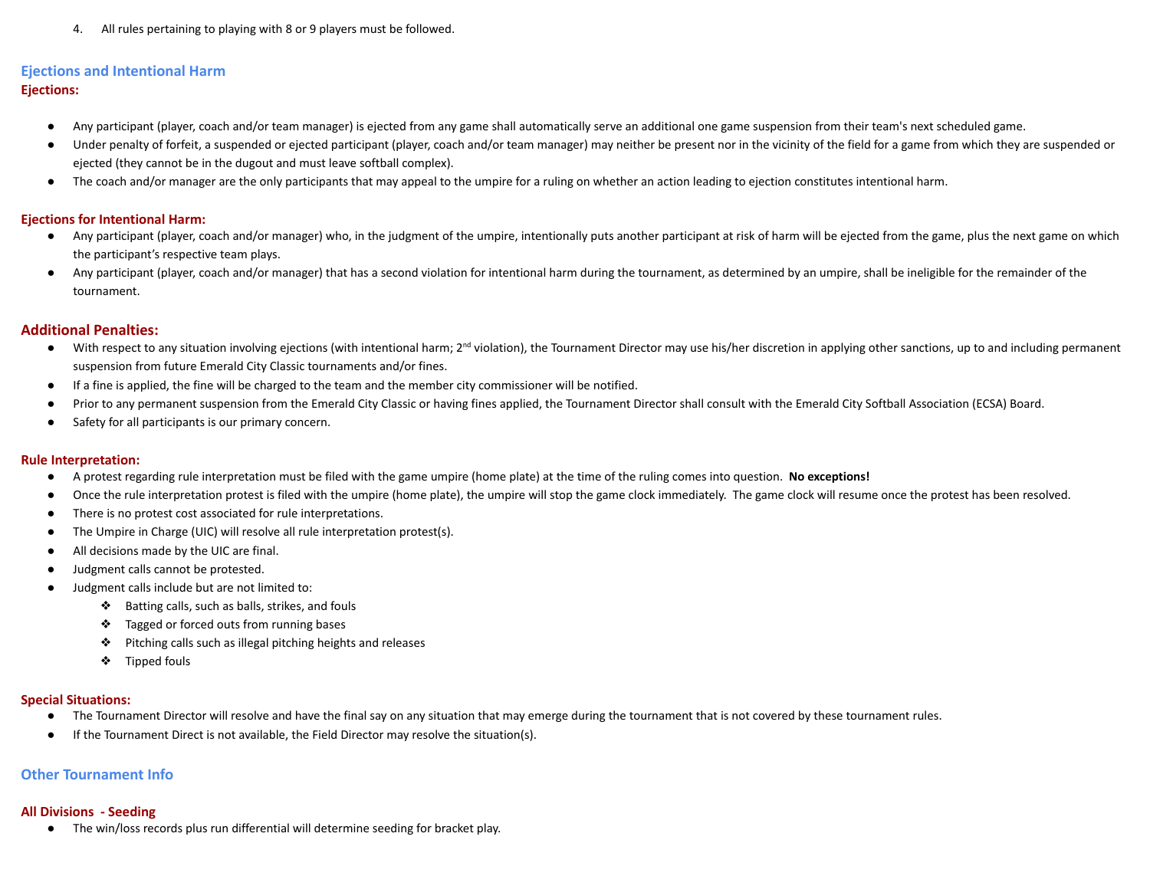4. All rules pertaining to playing with 8 or 9 players must be followed.

# **Ejections and Intentional Harm**

## **Ejections:**

- Any participant (player, coach and/or team manager) is ejected from any game shall automatically serve an additional one game suspension from their team's next scheduled game.
- Under penalty of forfeit, a suspended or ejected participant (player, coach and/or team manager) may neither be present nor in the vicinity of the field for a game from which they are suspended or ejected (they cannot be in the dugout and must leave softball complex).
- The coach and/or manager are the only participants that may appeal to the umpire for a ruling on whether an action leading to ejection constitutes intentional harm.

## **Ejections for Intentional Harm:**

- Any participant (player, coach and/or manager) who, in the judgment of the umpire, intentionally puts another participant at risk of harm will be ejected from the game, plus the next game on which the participant's respective team plays.
- Any participant (player, coach and/or manager) that has a second violation for intentional harm during the tournament, as determined by an umpire, shall be ineligible for the remainder of the tournament.

## **Additional Penalties:**

- With respect to any situation involving ejections (with intentional harm; 2<sup>nd</sup> violation), the Tournament Director may use his/her discretion in applying other sanctions, up to and including permanent suspension from future Emerald City Classic tournaments and/or fines.
- If a fine is applied, the fine will be charged to the team and the member city commissioner will be notified.
- Prior to any permanent suspension from the Emerald City Classic or having fines applied, the Tournament Director shall consult with the Emerald City Softball Association (ECSA) Board.
- Safety for all participants is our primary concern.

## **Rule Interpretation:**

- A protest regarding rule interpretation must be filed with the game umpire (home plate) at the time of the ruling comes into question. **No exceptions!**
- Once the rule interpretation protest is filed with the umpire (home plate), the umpire will stop the game clock immediately. The game clock will resume once the protest has been resolved.
- There is no protest cost associated for rule interpretations.
- The Umpire in Charge (UIC) will resolve all rule interpretation protest(s).
- All decisions made by the UIC are final.
- Judgment calls cannot be protested.
- Judgment calls include but are not limited to:
	- ❖ Batting calls, such as balls, strikes, and fouls
	- ❖ Tagged or forced outs from running bases
	- ❖ Pitching calls such as illegal pitching heights and releases
	- ❖ Tipped fouls

## **Special Situations:**

- The Tournament Director will resolve and have the final say on any situation that may emerge during the tournament that is not covered by these tournament rules.
- If the Tournament Direct is not available, the Field Director may resolve the situation(s).

## **Other Tournament Info**

## **All Divisions - Seeding**

● The win/loss records plus run differential will determine seeding for bracket play.